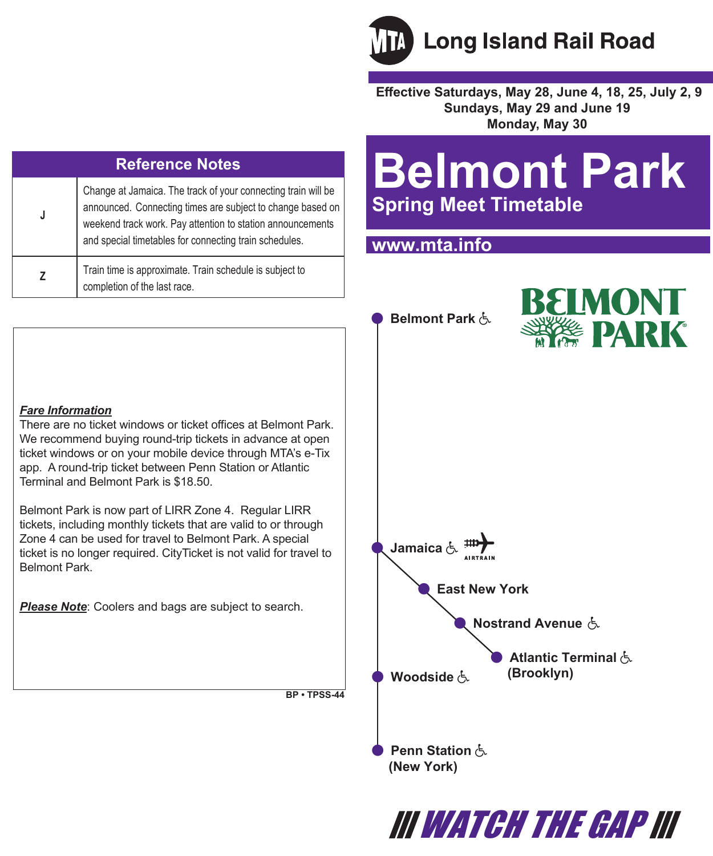

 **Effective Saturdays, May 28, June 4, 18, 25, July 2, 9 Sundays, May 29 and June 19 Monday, May 30**

| <b>Reference Notes</b> |                                                                                                                                                                                                                                                     |  |  |  |
|------------------------|-----------------------------------------------------------------------------------------------------------------------------------------------------------------------------------------------------------------------------------------------------|--|--|--|
|                        | Change at Jamaica. The track of your connecting train will be<br>announced. Connecting times are subject to change based on<br>weekend track work. Pay attention to station announcements<br>and special timetables for connecting train schedules. |  |  |  |
|                        | Train time is approximate. Train schedule is subject to<br>completion of the last race.                                                                                                                                                             |  |  |  |

# **Belmont Park Spring Meet Timetable**

III WATCH THE GAP III

**A** Nostrand Avenue &

**(Brooklyn)** 

 **Atlantic Terminal** 

### **www.mta.info**

 **Belmont Park** 

 **Jamaica** 

 **Penn Station (New York)** 

**Woodside** よ

 **East New York**



#### *Fare Information*

There are no ticket windows or ticket offices at Belmont Park. We recommend buying round-trip tickets in advance at open ticket windows or on your mobile device through MTA's e-Tix app. A round-trip ticket between Penn Station or Atlantic Terminal and Belmont Park is \$18.50.

Belmont Park is now part of LIRR Zone 4. Regular LIRR tickets, including monthly tickets that are valid to or through Zone 4 can be used for travel to Belmont Park. A special ticket is no longer required. CityTicket is not valid for travel to Belmont Park.

*Please Note*: Coolers and bags are subject to search.

**BP • TPSS-44**